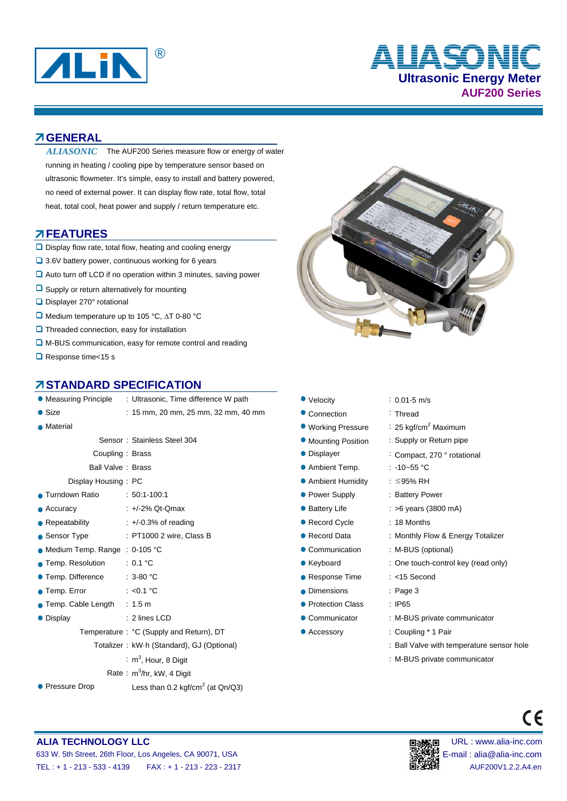

# **Ultrasonic Energy Meter AUF200 Series** ® **ALIASONIC**

### **GENERAL**

ALIASONIC The AUF200 Series measure flow or energy of water running in heating / cooling pipe by temperature sensor based on ultrasonic flowmeter. It's simple, easy to install and battery powered, no need of external power. It can display flow rate, total flow, total heat, total cool, heat power and supply / return temperature etc.

#### **FEATURES**

- □ Display flow rate, total flow, heating and cooling energy
- 3.6V battery power, continuous working for 6 years
- Auto turn off LCD if no operation within 3 minutes, saving power
- $\Box$  Supply or return alternatively for mounting
- Displayer 270° rotational
- $\Box$  Medium temperature up to 105 °C,  $\triangle T$  0-80 °C
- **Q** Threaded connection, easy for installation
- M-BUS communication, easy for remote control and reading
- Response time<15 s

### **STANDARD SPECIFICATION**

| <b>• Measuring Principle</b>    | : Ultrasonic, Time difference W path            | • Velocity                               | $: 0.01 - 5$ m/s                    |  |  |  |
|---------------------------------|-------------------------------------------------|------------------------------------------|-------------------------------------|--|--|--|
| $\bullet$ Size                  | : 15 mm, 20 mm, 25 mm, 32 mm, 40 mm             | • Connection                             | : Thread                            |  |  |  |
| • Material                      |                                                 | ● Working Pressure                       | : 25 kgf/cm <sup>2</sup> Maximum    |  |  |  |
|                                 | Sensor: Stainless Steel 304                     | <b>• Mounting Position</b>               | : Supply or Return pipe             |  |  |  |
|                                 | Coupling: Brass                                 | • Displayer                              | : Compact, 270 ° rotational         |  |  |  |
|                                 | Ball Valve: Brass                               | • Ambient Temp.<br>: -10~55 $^{\circ}$ C |                                     |  |  |  |
| Display Housing: PC             |                                                 | • Ambient Humidity                       | : ≤95% RH                           |  |  |  |
| • Turndown Ratio                | $: 50:1-100:1$                                  | • Power Supply                           | : Battery Power                     |  |  |  |
| $\bullet$ Accuracy              | $: +/-2\%$ Qt-Qmax                              | • Battery Life                           | $:$ >6 years (3800 mA)              |  |  |  |
| $\bullet$ Repeatability         | $\div$ +/-0.3% of reading                       | • Record Cycle                           | : 18 Months                         |  |  |  |
| • Sensor Type                   | $:$ PT1000 2 wire, Class B                      | • Record Data                            | : Monthly Flow & Energy Totalizer   |  |  |  |
| • Medium Temp. Range : 0-105 °C |                                                 | • Communication                          | : M-BUS (optional)                  |  |  |  |
| • Temp. Resolution              | : 0.1 °C                                        | • Keyboard                               | : One touch-control key (read only) |  |  |  |
| ● Temp. Difference              | $:3-80 °C$                                      | • Response Time                          | $: <15$ Second                      |  |  |  |
| ● Temp. Error                   | : $< 0.1$ °C                                    | • Dimensions                             | $:$ Page 3                          |  |  |  |
| ● Temp. Cable Length            | $\therefore$ 1.5 m                              | • Protection Class                       | : IP65                              |  |  |  |
| • Display                       | $: 2$ lines LCD                                 | • Communicator                           | : M-BUS private communicator        |  |  |  |
|                                 | Temperature: °C (Supply and Return), DT         | • Accessory                              | : Coupling * 1 Pair                 |  |  |  |
|                                 | Totalizer: kW·h (Standard), GJ (Optional)       |                                          | : Ball Valve with temperature sense |  |  |  |
|                                 | : $m^3$ , Hour, 8 Digit                         |                                          | : M-BUS private communicator        |  |  |  |
|                                 | Rate: $m^3/hr$ , kW, 4 Digit                    |                                          |                                     |  |  |  |
| • Pressure Drop                 | Less than 0.2 kgf/cm <sup>2</sup> (at $Qn/Q3$ ) |                                          |                                     |  |  |  |



|                   | <b>RD SPECIFICATION</b>                   |                     |                                           |
|-------------------|-------------------------------------------|---------------------|-------------------------------------------|
| nciple            | : Ultrasonic, Time difference W path      | • Velocity          | $: 0.01 - 5$ m/s                          |
|                   | : 15 mm, 20 mm, 25 mm, 32 mm, 40 mm       | • Connection        | : Thread                                  |
|                   |                                           | ● Working Pressure  | : 25 kgf/cm <sup>2</sup> Maximum          |
|                   | Sensor: Stainless Steel 304               | • Mounting Position | : Supply or Return pipe                   |
| Coupling: Brass   |                                           | • Displayer         | : Compact, 270 ° rotational               |
| all Valve : Brass |                                           | • Ambient Temp.     | : -10~55 $^{\circ}$ C                     |
| Housing: PC       |                                           | • Ambient Humidity  | : ≤95% RH                                 |
| io                | $: 50:1-100:1$                            | • Power Supply      | : Battery Power                           |
|                   | $: +2\%$ Qt-Qmax                          | • Battery Life      | $:$ >6 years (3800 mA)                    |
|                   | $\div$ +/-0.3% of reading                 | • Record Cycle      | : 18 Months                               |
|                   | : PT1000 2 wire, Class B                  | • Record Data       | : Monthly Flow & Energy Totalizer         |
|                   | . Range : 0-105 °C                        | • Communication     | : M-BUS (optional)                        |
| tion              | : $0.1 °C$                                | • Keyboard          | : One touch-control key (read only)       |
| าce               | $:3-80 °C$                                | • Response Time     | $: <15$ Second                            |
|                   | : $< 0.1$ °C                              | • Dimensions        | $:$ Page 3                                |
| _ength            | : 1.5 m                                   | • Protection Class  | $:$ IP65                                  |
|                   | $: 2$ lines LCD                           | • Communicator      | : M-BUS private communicator              |
|                   | iperature: °C (Supply and Return), DT     | • Accessory         | : Coupling * 1 Pair                       |
|                   | Totalizer: kW·h (Standard), GJ (Optional) |                     | : Ball Valve with temperature sensor hole |
|                   | : $m^3$ , Hour, 8 Digit                   |                     | : M-BUS private communicator              |
|                   |                                           |                     |                                           |



 $\epsilon$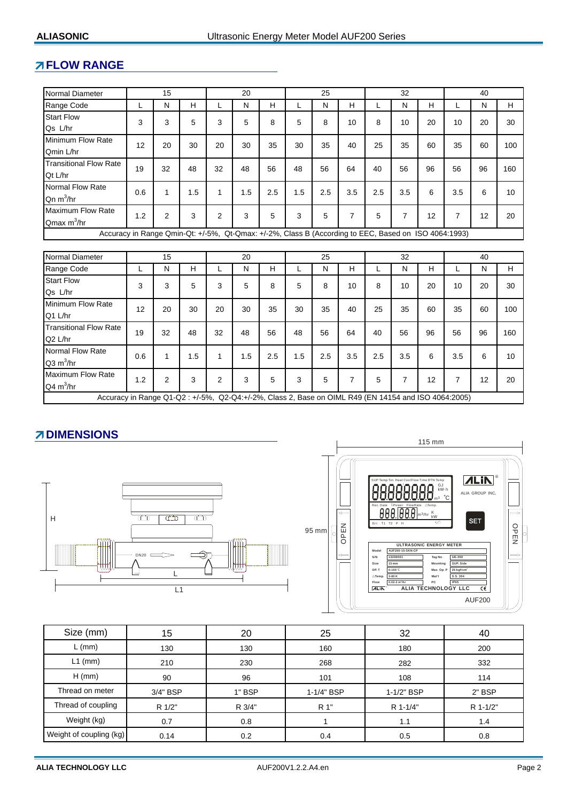## **FLOW RANGE**

| Normal Diameter                                                                                      |     | 15             |     |                | 20           |     |     | 25  |                | 32  |                |    | 40             |    |                  |
|------------------------------------------------------------------------------------------------------|-----|----------------|-----|----------------|--------------|-----|-----|-----|----------------|-----|----------------|----|----------------|----|------------------|
| Range Code                                                                                           | L   | N              | H   | L              | $\mathsf{N}$ | H   | L   | N   | H              | L   | N              | H  | L              | N  | H                |
| <b>Start Flow</b><br>Qs L/hr                                                                         | 3   | 3              | 5   | 3              | 5            | 8   | 5   | 8   | 10             | 8   | 10             | 20 | 10             | 20 | 30               |
| Minimum Flow Rate<br>Qmin L/hr                                                                       | 12  | 20             | 30  | 20             | 30           | 35  | 30  | 35  | 40             | 25  | 35             | 60 | 35             | 60 | 100              |
| <b>Transitional Flow Rate</b><br>Qt L/hr                                                             | 19  | 32             | 48  | 32             | 48           | 56  | 48  | 56  | 64             | 40  | 56             | 96 | 56             | 96 | 160              |
| Normal Flow Rate<br>$Qn \, m^3/hr$                                                                   | 0.6 | 1              | 1.5 | $\mathbf{1}$   | 1.5          | 2.5 | 1.5 | 2.5 | 3.5            | 2.5 | 3.5            | 6  | 3.5            | 6  | 10               |
| <b>Maximum Flow Rate</b><br>Qmax $m^3/hr$                                                            | 1.2 | $\overline{2}$ | 3   | 2              | 3            | 5   | 3   | 5   | $\overline{7}$ | 5   | $\overline{7}$ | 12 | $\overline{7}$ | 12 | 20               |
| Accuracy in Range Qmin-Qt: +/-5%, Qt-Qmax: +/-2%, Class B (According to EEC, Based on ISO 4064:1993) |     |                |     |                |              |     |     |     |                |     |                |    |                |    |                  |
|                                                                                                      |     |                |     |                |              |     |     |     |                |     |                |    |                |    |                  |
| Normal Diameter                                                                                      |     | 15             |     |                | 20           |     |     | 25  |                |     | 32             |    |                | 40 |                  |
| Range Code                                                                                           | L   | N              | H   | L              | N            | H.  | L   | N   | H              | L   | N              | H  | L              | N  | H                |
| <b>Start Flow</b><br>Qs L/hr                                                                         | 3   | 3              | 5   | 3              | 5            | 8   | 5   | 8   | 10             | 8   | 10             | 20 | 10             | 20 | 30               |
| Minimum Flow Rate<br>Q1 L/hr                                                                         | 12  | 20             | 30  | 20             | 30           | 35  | 30  | 35  | 40             | 25  | 35             | 60 | 35             | 60 | 100              |
| <b>Transitional Flow Rate</b><br>Q2 L/hr                                                             | 19  | 32             | 48  | 32             | 48           | 56  | 48  | 56  | 64             | 40  | 56             | 96 | 56             | 96 | 160              |
| Normal Flow Rate<br>$Q3 \text{ m}^3/\text{hr}$                                                       | 0.6 | 1              | 1.5 | $\mathbf{1}$   | 1.5          | 2.5 | 1.5 | 2.5 | 3.5            | 2.5 | 3.5            | 6  | 3.5            | 6  | 10 <sup>10</sup> |
| <b>Maximum Flow Rate</b><br>$Q4 \text{ m}^3/\text{hr}$                                               | 1.2 | 2              | 3   | $\overline{2}$ | 3            | 5   | 3   | 5   | $\overline{7}$ | 5   | 7              | 12 | 7              | 12 | 20               |
| Accuracy in Range Q1-Q2 : +/-5%, Q2-Q4:+/-2%, Class 2, Base on OIML R49 (EN 14154 and ISO 4064:2005) |     |                |     |                |              |     |     |     |                |     |                |    |                |    |                  |

# **ZIDIMENSIONS**





| Size (mm)               | 15       | 20     | 25         | 32         | 40       |
|-------------------------|----------|--------|------------|------------|----------|
| $L$ (mm)                | 130      | 130    | 160        | 180        | 200      |
| $L1$ (mm)               | 210      | 230    | 268        | 282        | 332      |
| $H$ (mm)                | 90       | 96     | 101        | 108        | 114      |
| Thread on meter         | 3/4" BSP | 1" BSP | 1-1/4" BSP | 1-1/2" BSP | 2" BSP   |
| Thread of coupling      | R 1/2"   | R 3/4" | R 1"       | R 1-1/4"   | R 1-1/2" |
| Weight (kg)             | 0.7      | 0.8    |            | 1.1        | 1.4      |
| Weight of coupling (kg) | 0.14     | 0.2    | 0.4        | 0.5        | 0.8      |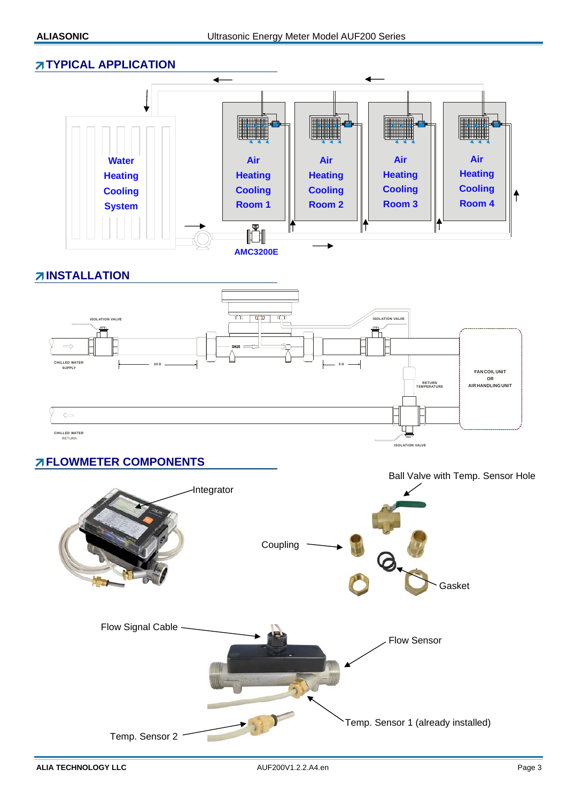### **TYPICAL APPLICATION**



**INSTALLATION**



# **FLOWMETER COMPONENTS**